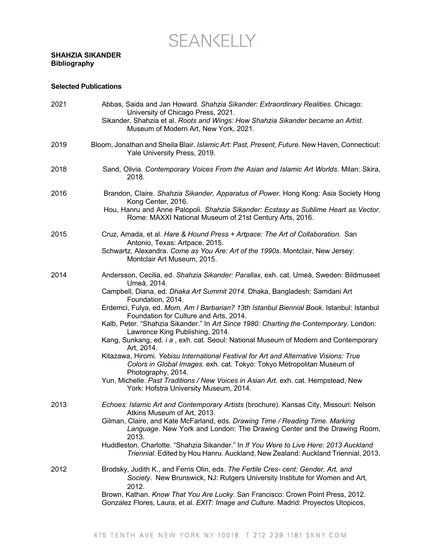## SEANKELLY

## **SHAHZIA SIKANDER Bibliography**

## **Selected Publications**

| 2021 | Abbas, Saida and Jan Howard. Shahzia Sikander: Extraordinary Realities. Chicago:<br>University of Chicago Press, 2021.<br>Sikander, Shahzia et al. Roots and Wings: How Shahzia Sikander became an Artist.<br>Museum of Modern Art, New York, 2021. |
|------|-----------------------------------------------------------------------------------------------------------------------------------------------------------------------------------------------------------------------------------------------------|
| 2019 | Bloom, Jonathan and Sheila Blair. Islamic Art: Past, Present, Future. New Haven, Connecticut:<br>Yale University Press, 2019.                                                                                                                       |
| 2018 | Sand, Olivia. Contemporary Voices From the Asian and Islamic Art Worlds. Milan: Skira,<br>2018.                                                                                                                                                     |
| 2016 | Brandon, Claire. Shahzia Sikander, Apparatus of Power. Hong Kong: Asia Society Hong<br>Kong Center, 2016.                                                                                                                                           |
|      | Hou, Hanru and Anne Palopoli. Shahzia Sikander: Ecstasy as Sublime Heart as Vector.<br>Rome: MAXXI National Museum of 21st Century Arts, 2016.                                                                                                      |
| 2015 | Cruz, Amada, et al. Hare & Hound Press + Artpace: The Art of Collaboration. San<br>Antonio, Texas: Artpace, 2015.                                                                                                                                   |
|      | Schwartz, Alexandra. Come as You Are: Art of the 1990s. Montclair, New Jersey:<br>Montclair Art Museum, 2015.                                                                                                                                       |
| 2014 | Andersson, Cecilia, ed. Shahzia Sikander: Parallax, exh. cat. Umeå, Sweden: Bildmuseet<br>Umeå, 2014.                                                                                                                                               |
|      | Campbell, Diana, ed. Dhaka Art Summit 2014. Dhaka, Bangladesh: Samdani Art<br>Foundation, 2014.                                                                                                                                                     |
|      | Erdemci, Fulya, ed. Mom, Am I Barbarian? 13th Istanbul Biennial Book. Istanbul: Istanbul<br>Foundation for Culture and Arts, 2014.                                                                                                                  |
|      | Kalb, Peter. "Shahzia Sikander." In Art Since 1980: Charting the Contemporary. London:<br>Lawrence King Publishing, 2014.                                                                                                                           |
|      | Kang, Sunkang, ed. i a, exh. cat. Seoul: National Museum of Modern and Contemporary<br>Art, 2014.                                                                                                                                                   |
|      | Kitazawa, Hiromi. Yebisu International Festival for Art and Alternative Visions: True<br>Colors in Global Images. exh. cat. Tokyo: Tokyo Metropolitan Museum of<br>Photography, 2014.                                                               |
|      | Yun, Michelle. Past Traditions / New Voices in Asian Art. exh. cat. Hempstead, New<br>York: Hofstra University Museum, 2014.                                                                                                                        |
| 2013 | Echoes: Islamic Art and Contemporary Artists (brochure). Kansas City, Missouri: Nelson<br>Atkins Museum of Art, 2013.                                                                                                                               |
|      | Gilman, Claire, and Kate McFarland, eds. Drawing Time / Reading Time. Marking<br>Language. New York and London: The Drawing Center and the Drawing Room,<br>2013.                                                                                   |
|      | Huddleston, Charlotte. "Shahzia Sikander." In If You Were to Live Here: 2013 Auckland<br>Triennial. Edited by Hou Hanru. Auckland, New Zealand: Auckland Triennial, 2013.                                                                           |
| 2012 | Brodsky, Judith K., and Ferris Olin, eds. The Fertile Cres- cent: Gender, Art, and<br>Society. New Brunswick, NJ: Rutgers University Institute for Women and Art,<br>2012.                                                                          |
|      | Brown, Kathan. Know That You Are Lucky. San Francisco: Crown Point Press, 2012.<br>Gonzalez Flores, Laura, et al. EXIT: Image and Culture. Madrid: Proyectos Utopicos,                                                                              |
|      |                                                                                                                                                                                                                                                     |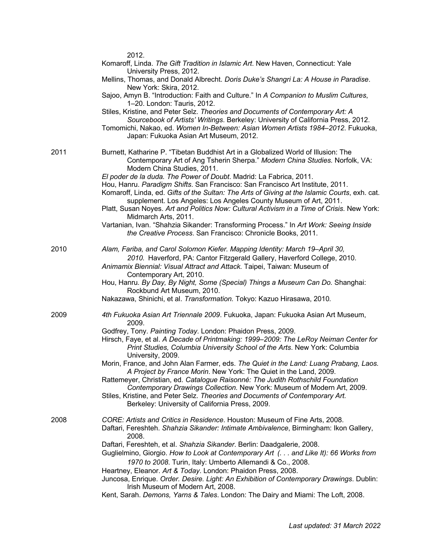|      | 2012.<br>Komaroff, Linda. The Gift Tradition in Islamic Art. New Haven, Connecticut: Yale<br>University Press, 2012.                                                                                                                                                                                                      |
|------|---------------------------------------------------------------------------------------------------------------------------------------------------------------------------------------------------------------------------------------------------------------------------------------------------------------------------|
|      | Mellins, Thomas, and Donald Albrecht. Doris Duke's Shangri La: A House in Paradise.<br>New York: Skira, 2012.                                                                                                                                                                                                             |
|      | Sajoo, Amyn B. "Introduction: Faith and Culture." In A Companion to Muslim Cultures,<br>1-20. London: Tauris, 2012.                                                                                                                                                                                                       |
|      | Stiles, Kristine, and Peter Selz. Theories and Documents of Contemporary Art: A<br>Sourcebook of Artists' Writings. Berkeley: University of California Press, 2012.<br>Tomomichi, Nakao, ed. Women In-Between: Asian Women Artists 1984-2012. Fukuoka,                                                                    |
|      | Japan: Fukuoka Asian Art Museum, 2012.                                                                                                                                                                                                                                                                                    |
| 2011 | Burnett, Katharine P. "Tibetan Buddhist Art in a Globalized World of Illusion: The<br>Contemporary Art of Ang Tsherin Sherpa." Modern China Studies. Norfolk, VA:<br>Modern China Studies, 2011.                                                                                                                          |
|      | El poder de la duda. The Power of Doubt. Madrid: La Fabrica, 2011.<br>Hou, Hanru. Paradigm Shifts. San Francisco: San Francisco Art Institute, 2011.<br>Komaroff, Linda, ed. Gifts of the Sultan: The Arts of Giving at the Islamic Courts, exh. cat.<br>supplement. Los Angeles: Los Angeles County Museum of Art, 2011. |
|      | Platt, Susan Noyes. Art and Politics Now: Cultural Activism in a Time of Crisis. New York:<br>Midmarch Arts, 2011.                                                                                                                                                                                                        |
|      | Vartanian, Ivan. "Shahzia Sikander: Transforming Process." In Art Work: Seeing Inside<br>the Creative Process. San Francisco: Chronicle Books, 2011.                                                                                                                                                                      |
| 2010 | Alam, Fariba, and Carol Solomon Kiefer. Mapping Identity: March 19-April 30,<br>2010. Haverford, PA: Cantor Fitzgerald Gallery, Haverford College, 2010.                                                                                                                                                                  |
|      | Animamix Biennial: Visual Attract and Attack. Taipei, Taiwan: Museum of<br>Contemporary Art, 2010.                                                                                                                                                                                                                        |
|      | Hou, Hanru. By Day, By Night, Some (Special) Things a Museum Can Do. Shanghai:<br>Rockbund Art Museum, 2010.                                                                                                                                                                                                              |
|      | Nakazawa, Shinichi, et al. Transformation. Tokyo: Kazuo Hirasawa, 2010.                                                                                                                                                                                                                                                   |
| 2009 | 4th Fukuoka Asian Art Triennale 2009. Fukuoka, Japan: Fukuoka Asian Art Museum,<br>2009.                                                                                                                                                                                                                                  |
|      | Godfrey, Tony. Painting Today. London: Phaidon Press, 2009.<br>Hirsch, Faye, et al. A Decade of Printmaking: 1999-2009: The LeRoy Neiman Center for<br>Print Studies, Columbia University School of the Arts. New York: Columbia<br>University, 2009.                                                                     |
|      | Morin, France, and John Alan Farmer, eds. The Quiet in the Land: Luang Prabang, Laos.<br>A Project by France Morin. New York: The Quiet in the Land, 2009.                                                                                                                                                                |
|      | Rattemeyer, Christian, ed. Catalogue Raisonné: The Judith Rothschild Foundation<br>Contemporary Drawings Collection. New York: Museum of Modern Art, 2009.                                                                                                                                                                |
|      | Stiles, Kristine, and Peter Selz. Theories and Documents of Contemporary Art.<br>Berkeley: University of California Press, 2009.                                                                                                                                                                                          |
| 2008 | CORE: Artists and Critics in Residence. Houston: Museum of Fine Arts, 2008.<br>Daftari, Fereshteh. Shahzia Sikander: Intimate Ambivalence, Birmingham: Ikon Gallery,<br>2008.                                                                                                                                             |
|      | Daftari, Fereshteh, et al. Shahzia Sikander. Berlin: Daadgalerie, 2008.<br>Guglielmino, Giorgio. How to Look at Contemporary Art (. and Like It): 66 Works from                                                                                                                                                           |
|      | 1970 to 2008. Turin, Italy: Umberto Allemandi & Co., 2008.<br>Heartney, Eleanor. Art & Today. London: Phaidon Press, 2008.                                                                                                                                                                                                |
|      | Juncosa, Enrique. Order. Desire. Light: An Exhibition of Contemporary Drawings. Dublin:<br>Irish Museum of Modern Art, 2008.                                                                                                                                                                                              |
|      | Kent, Sarah. Demons, Yarns & Tales. London: The Dairy and Miami: The Loft, 2008.                                                                                                                                                                                                                                          |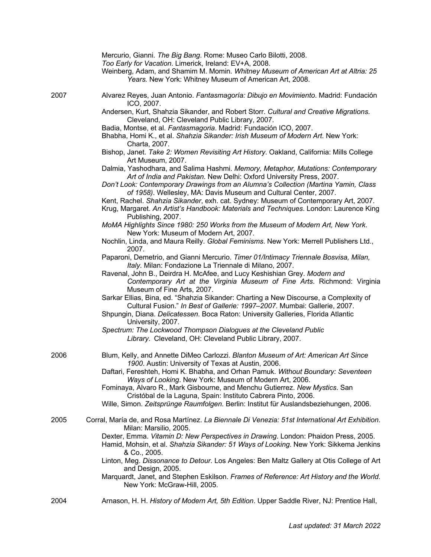|      | Mercurio, Gianni. The Big Bang. Rome: Museo Carlo Bilotti, 2008.<br>Too Early for Vacation. Limerick, Ireland: EV+A, 2008.<br>Weinberg, Adam, and Shamim M. Momin. Whitney Museum of American Art at Altria: 25<br>Years. New York: Whitney Museum of American Art, 2008. |
|------|---------------------------------------------------------------------------------------------------------------------------------------------------------------------------------------------------------------------------------------------------------------------------|
| 2007 | Alvarez Reyes, Juan Antonio. Fantasmagoría: Dibujo en Movimiento. Madrid: Fundación<br>ICO, 2007.                                                                                                                                                                         |
|      | Andersen, Kurt, Shahzia Sikander, and Robert Storr. Cultural and Creative Migrations.<br>Cleveland, OH: Cleveland Public Library, 2007.                                                                                                                                   |
|      | Badia, Montse, et al. Fantasmagoria. Madrid: Fundación ICO, 2007.<br>Bhabha, Homi K., et al. Shahzia Sikander: Irish Museum of Modern Art. New York:<br>Charta, 2007.                                                                                                     |
|      | Bishop, Janet. Take 2: Women Revisiting Art History. Oakland, California: Mills College<br>Art Museum, 2007.                                                                                                                                                              |
|      | Dalmia, Yashodhara, and Salima Hashmi. Memory, Metaphor, Mutations: Contemporary<br>Art of India and Pakistan. New Delhi: Oxford University Press, 2007.                                                                                                                  |
|      | Don't Look: Contemporary Drawings from an Alumna's Collection (Martina Yamin, Class<br>of 1958). Wellesley, MA: Davis Museum and Cultural Center, 2007.                                                                                                                   |
|      | Kent, Rachel. Shahzia Sikander, exh. cat. Sydney: Museum of Contemporary Art, 2007.<br>Krug, Margaret. An Artist's Handbook: Materials and Techniques. London: Laurence King<br>Publishing, 2007.                                                                         |
|      | MoMA Highlights Since 1980: 250 Works from the Museum of Modern Art, New York.<br>New York: Museum of Modern Art, 2007.                                                                                                                                                   |
|      | Nochlin, Linda, and Maura Reilly. Global Feminisms. New York: Merrell Publishers Ltd.,<br>2007.                                                                                                                                                                           |
|      | Paparoni, Demetrio, and Gianni Mercurio. Timer 01/Intimacy Triennale Bosvisa, Milan,<br>Italy. Milan: Fondazione La Triennale di Milano, 2007.                                                                                                                            |
|      | Ravenal, John B., Deirdra H. McAfee, and Lucy Keshishian Grey. Modern and<br>Contemporary Art at the Virginia Museum of Fine Arts. Richmond: Virginia<br>Museum of Fine Arts, 2007.                                                                                       |
|      | Sarkar Ellias, Bina, ed. "Shahzia Sikander: Charting a New Discourse, a Complexity of<br>Cultural Fusion." In Best of Gallerie: 1997-2007. Mumbai: Gallerie, 2007.                                                                                                        |
|      | Shpungin, Diana. Delicatessen. Boca Raton: University Galleries, Florida Atlantic<br>University, 2007.                                                                                                                                                                    |
|      | Spectrum: The Lockwood Thompson Dialogues at the Cleveland Public<br>Library. Cleveland, OH: Cleveland Public Library, 2007.                                                                                                                                              |
| 2006 | Blum, Kelly, and Annette DiMeo Carlozzi. Blanton Museum of Art: American Art Since<br>1900. Austin: University of Texas at Austin, 2006.                                                                                                                                  |
|      | Daftari, Fereshteh, Homi K. Bhabha, and Orhan Pamuk. Without Boundary: Seventeen<br>Ways of Looking. New York: Museum of Modern Art, 2006.                                                                                                                                |
|      | Fominaya, Alvaro R., Mark Gisbourne, and Menchu Gutierrez. New Mystics. San<br>Cristóbal de la Laguna, Spain: Instituto Cabrera Pinto, 2006.                                                                                                                              |
|      | Wille, Simon. Zeitsprünge Raumfolgen. Berlin: Institut für Auslandsbeziehungen, 2006.                                                                                                                                                                                     |
| 2005 | Corral, María de, and Rosa Martínez. La Biennale Di Venezia: 51st International Art Exhibition.<br>Milan: Marsilio, 2005.                                                                                                                                                 |
|      | Dexter, Emma. Vitamin D: New Perspectives in Drawing. London: Phaidon Press, 2005.<br>Hamid, Mohsin, et al. Shahzia Sikander: 51 Ways of Looking. New York: Sikkema Jenkins<br>& Co., 2005.                                                                               |
|      | Linton, Meg. Dissonance to Detour. Los Angeles: Ben Maltz Gallery at Otis College of Art<br>and Design, 2005.                                                                                                                                                             |
|      | Marquardt, Janet, and Stephen Eskilson. Frames of Reference: Art History and the World.<br>New York: McGraw-Hill, 2005.                                                                                                                                                   |
| 2004 | Arnason, H. H. History of Modern Art, 5th Edition. Upper Saddle River, NJ: Prentice Hall,                                                                                                                                                                                 |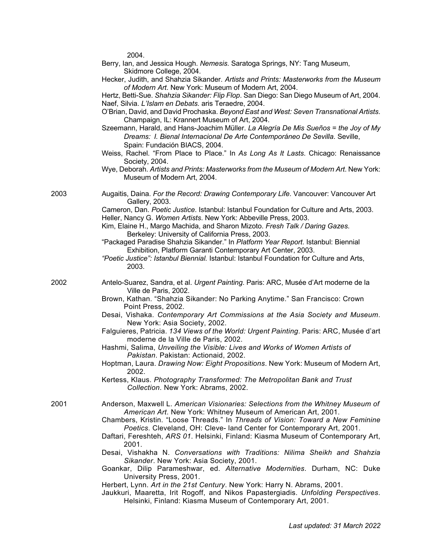2004.

| Berry, Ian, and Jessica Hough. Nemesis. Saratoga Springs, NY: Tang Museum,            |
|---------------------------------------------------------------------------------------|
| Skidmore College, 2004.                                                               |
| Hecker, Judith, and Shahzia Sikander. Artists and Prints: Masterworks from the Museum |

*of Modern Art*. New York: Museum of Modern Art, 2004. Hertz, Betti-Sue. *Shahzia Sikander: Flip Flop*. San Diego: San Diego Museum of Art, 2004. Naef, Silvia. *L'Islam en Debats*. aris Teraedre, 2004.

- O'Brian, David, and David Prochaska. *Beyond East and West: Seven Transnational Artists*. Champaign, IL: Krannert Museum of Art, 2004.
- Szeemann, Harald, and Hans-Joachim Müller. *La Alegría De Mis Sueños = the Joy of My Dreams: I. Bienal Internacional De Arte Contemporáneo De Sevilla*. Seville, Spain: Fundación BIACS, 2004.
- Weiss, Rachel. "From Place to Place." In *As Long As It Lasts*. Chicago: Renaissance Society, 2004.
- Wye, Deborah. *Artists and Prints: Masterworks from the Museum of Modern Art*. New York: Museum of Modern Art, 2004.

2003 Augaitis, Daina. *For the Record: Drawing Contemporary Life*. Vancouver: Vancouver Art Gallery, 2003.

> Cameron, Dan. *Poetic Justice*. Istanbul: Istanbul Foundation for Culture and Arts, 2003. Heller, Nancy G. *Women Artists*. New York: Abbeville Press, 2003.

- Kim, Elaine H., Margo Machida, and Sharon Mizoto. *Fresh Talk / Daring Gazes*. Berkeley: University of California Press, 2003.
- "Packaged Paradise Shahzia Sikander." In *Platform Year Report*. Istanbul: Biennial Exhibition, Platform Garanti Contemporary Art Center, 2003.
- *"Poetic Justice": Istanbul Biennial.* Istanbul: Istanbul Foundation for Culture and Arts, 2003.
- 2002 Antelo-Suarez, Sandra, et al. *Urgent Painting*. Paris: ARC, Musée d'Art moderne de la Ville de Paris, 2002.
	- Brown, Kathan. "Shahzia Sikander: No Parking Anytime." San Francisco: Crown Point Press, 2002.
	- Desai, Vishaka. *Contemporary Art Commissions at the Asia Society and Museum*. New York: Asia Society, 2002.
	- Falguieres, Patricia. *134 Views of the World: Urgent Painting*. Paris: ARC, Musée d'art moderne de la Ville de Paris, 2002.
	- Hashmi, Salima, *Unveiling the Visible: Lives and Works of Women Artists of Pakistan*. Pakistan: Actionaid, 2002.
	- Hoptman, Laura. *Drawing Now: Eight Propositions*. New York: Museum of Modern Art, 2002.
	- Kertess, Klaus. *Photography Transformed: The Metropolitan Bank and Trust Collection*. New York: Abrams, 2002.
- 2001 Anderson, Maxwell L. *American Visionaries: Selections from the Whitney Museum of American Art*. New York: Whitney Museum of American Art, 2001.
	- Chambers, Kristin. "Loose Threads." In *Threads of Vision: Toward a New Feminine Poetics*. Cleveland, OH: Cleve- land Center for Contemporary Art, 2001.
	- Daftari, Fereshteh, *ARS 01*. Helsinki, Finland: Kiasma Museum of Contemporary Art, 2001.
	- Desai, Vishakha N. *Conversations with Traditions: Nilima Sheikh and Shahzia Sikander*. New York: Asia Society, 2001.
	- Goankar, Dilip Parameshwar, ed. *Alternative Modernities*. Durham, NC: Duke University Press, 2001.
	- Herbert, Lynn. *Art in the 21st Century*. New York: Harry N. Abrams, 2001.
	- Jaukkuri, Maaretta, Irit Rogoff, and Nikos Papastergiadis. *Unfolding Perspectives*. Helsinki, Finland: Kiasma Museum of Contemporary Art, 2001.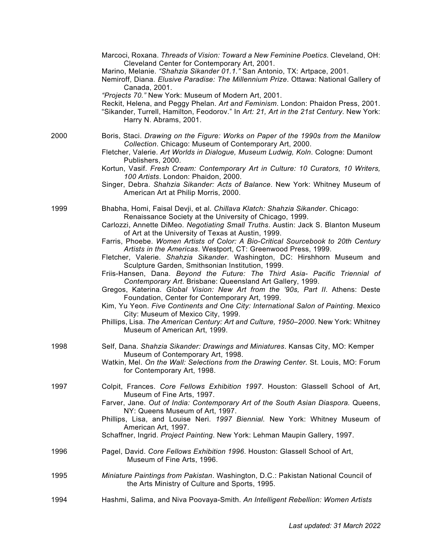|      | Marcoci, Roxana. Threads of Vision: Toward a New Feminine Poetics. Cleveland, OH:<br>Cleveland Center for Contemporary Art, 2001.                                                                                                                                                    |
|------|--------------------------------------------------------------------------------------------------------------------------------------------------------------------------------------------------------------------------------------------------------------------------------------|
|      | Marino, Melanie. "Shahzia Sikander 01.1." San Antonio, TX: Artpace, 2001.<br>Nemiroff, Diana. Elusive Paradise: The Millennium Prize. Ottawa: National Gallery of<br>Canada, 2001.                                                                                                   |
|      | "Projects 70." New York: Museum of Modern Art, 2001.<br>Reckit, Helena, and Peggy Phelan. Art and Feminism. London: Phaidon Press, 2001.<br>"Sikander, Turrell, Hamilton, Feodorov." In Art: 21, Art in the 21st Century. New York:<br>Harry N. Abrams, 2001.                        |
| 2000 | Boris, Staci. Drawing on the Figure: Works on Paper of the 1990s from the Manilow<br>Collection. Chicago: Museum of Contemporary Art, 2000.<br>Fletcher, Valerie. Art Worlds in Dialogue, Museum Ludwig, Koln. Cologne: Dumont                                                       |
|      | Publishers, 2000.<br>Kortun, Vasif. Fresh Cream: Contemporary Art in Culture: 10 Curators, 10 Writers,<br>100 Artists. London: Phaidon, 2000.<br>Singer, Debra. Shahzia Sikander: Acts of Balance. New York: Whitney Museum of                                                       |
|      | American Art at Philip Morris, 2000.                                                                                                                                                                                                                                                 |
| 1999 | Bhabha, Homi, Faisal Devji, et al. Chillava Klatch: Shahzia Sikander. Chicago:<br>Renaissance Society at the University of Chicago, 1999.<br>Carlozzi, Annette DiMeo. Negotiating Small Truths. Austin: Jack S. Blanton Museum<br>of Art at the University of Texas at Austin, 1999. |
|      | Farris, Phoebe. Women Artists of Color: A Bio-Critical Sourcebook to 20th Century<br>Artists in the Americas. Westport, CT: Greenwood Press, 1999.<br>Fletcher, Valerie. Shahzia Sikander. Washington, DC: Hirshhorn Museum and                                                      |
|      | Sculpture Garden, Smithsonian Institution, 1999.<br>Friis-Hansen, Dana. Beyond the Future: The Third Asia- Pacific Triennial of<br>Contemporary Art. Brisbane: Queensland Art Gallery, 1999.<br>Gregos, Katerina. Global Vision: New Art from the '90s, Part II. Athens: Deste       |
|      | Foundation, Center for Contemporary Art, 1999.<br>Kim, Yu Yeon. Five Continents and One City: International Salon of Painting. Mexico<br>City: Museum of Mexico City, 1999.                                                                                                          |
|      | Phillips, Lisa. The American Century: Art and Culture, 1950-2000. New York: Whitney<br>Museum of American Art, 1999.                                                                                                                                                                 |
| 1998 | Self, Dana. Shahzia Sikander: Drawings and Miniatures. Kansas City, MO: Kemper<br>Museum of Contemporary Art, 1998.                                                                                                                                                                  |
|      | Watkin, Mel. On the Wall: Selections from the Drawing Center. St. Louis, MO: Forum<br>for Contemporary Art, 1998.                                                                                                                                                                    |
| 1997 | Colpit, Frances. Core Fellows Exhibition 1997. Houston: Glassell School of Art,<br>Museum of Fine Arts, 1997.                                                                                                                                                                        |
|      | Farver, Jane. Out of India: Contemporary Art of the South Asian Diaspora. Queens,<br>NY: Queens Museum of Art, 1997.                                                                                                                                                                 |
|      | Phillips, Lisa, and Louise Neri. 1997 Biennial. New York: Whitney Museum of<br>American Art, 1997.                                                                                                                                                                                   |
|      | Schaffner, Ingrid. Project Painting. New York: Lehman Maupin Gallery, 1997.                                                                                                                                                                                                          |
| 1996 | Pagel, David. Core Fellows Exhibition 1996. Houston: Glassell School of Art,<br>Museum of Fine Arts, 1996.                                                                                                                                                                           |
| 1995 | Miniature Paintings from Pakistan. Washington, D.C.: Pakistan National Council of<br>the Arts Ministry of Culture and Sports, 1995.                                                                                                                                                  |
| 1994 | Hashmi, Salima, and Niva Poovaya-Smith. An Intelligent Rebellion: Women Artists                                                                                                                                                                                                      |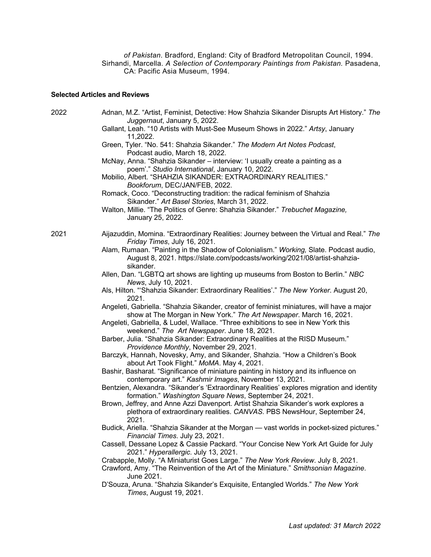*of Pakistan*. Bradford, England: City of Bradford Metropolitan Council, 1994. Sirhandi, Marcella. *A Selection of Contemporary Paintings from Pakistan.* Pasadena, CA: Pacific Asia Museum, 1994.

## **Selected Articles and Reviews**

| 2022 | Adnan, M.Z. "Artist, Feminist, Detective: How Shahzia Sikander Disrupts Art History." The<br>Juggernaut, January 5, 2022.                                                                                                                             |
|------|-------------------------------------------------------------------------------------------------------------------------------------------------------------------------------------------------------------------------------------------------------|
|      | Gallant, Leah. "10 Artists with Must-See Museum Shows in 2022." Artsy, January<br>11,2022.                                                                                                                                                            |
|      | Green, Tyler. "No. 541: Shahzia Sikander." The Modern Art Notes Podcast,<br>Podcast audio, March 18, 2022.                                                                                                                                            |
|      | McNay, Anna. "Shahzia Sikander - interview: 'I usually create a painting as a                                                                                                                                                                         |
|      | poem'." Studio International, January 10, 2022.<br>Mobilio, Albert. "SHAHZIA SIKANDER: EXTRAORDINARY REALITIES."<br>Bookforum, DEC/JAN/FEB, 2022.                                                                                                     |
|      | Romack, Coco. "Deconstructing tradition: the radical feminism of Shahzia<br>Sikander." Art Basel Stories, March 31, 2022.                                                                                                                             |
|      | Walton, Millie. "The Politics of Genre: Shahzia Sikander." Trebuchet Magazine,<br>January 25, 2022.                                                                                                                                                   |
| 2021 | Aijazuddin, Momina. "Extraordinary Realities: Journey between the Virtual and Real." The<br>Friday Times, July 16, 2021.                                                                                                                              |
|      | Alam, Rumaan. "Painting in the Shadow of Colonialism." Working, Slate. Podcast audio,<br>August 8, 2021. https://slate.com/podcasts/working/2021/08/artist-shahzia-<br>sikander.                                                                      |
|      | Allen, Dan. "LGBTQ art shows are lighting up museums from Boston to Berlin." NBC<br>News, July 10, 2021.                                                                                                                                              |
|      | Als, Hilton. "Shahzia Sikander: Extraordinary Realities'." The New Yorker. August 20,<br>2021.                                                                                                                                                        |
|      | Angeleti, Gabriella. "Shahzia Sikander, creator of feminist miniatures, will have a major<br>show at The Morgan in New York." The Art Newspaper. March 16, 2021.<br>Angeleti, Gabriella, & Ludel, Wallace. "Three exhibitions to see in New York this |
|      | weekend." The Art Newspaper. June 18, 2021.                                                                                                                                                                                                           |
|      | Barber, Julia. "Shahzia Sikander: Extraordinary Realities at the RISD Museum."<br>Providence Monthly, November 29, 2021.                                                                                                                              |
|      | Barczyk, Hannah, Novesky, Amy, and Sikander, Shahzia. "How a Children's Book<br>about Art Took Flight." MoMA. May 4, 2021.                                                                                                                            |
|      | Bashir, Basharat. "Significance of miniature painting in history and its influence on<br>contemporary art." Kashmir Images, November 13, 2021.                                                                                                        |
|      | Bentzien, Alexandra. "Sikander's 'Extraordinary Realities' explores migration and identity<br>formation." Washington Square News, September 24, 2021.                                                                                                 |
|      | Brown, Jeffrey, and Anne Azzi Davenport. Artist Shahzia Sikander's work explores a<br>plethora of extraordinary realities. CANVAS. PBS NewsHour, September 24,<br>2021.                                                                               |
|      | Budick, Ariella. "Shahzia Sikander at the Morgan - vast worlds in pocket-sized pictures."<br>Financial Times. July 23, 2021.                                                                                                                          |
|      | Cassell, Dessane Lopez & Cassie Packard. "Your Concise New York Art Guide for July<br>2021." Hyperallergic. July 13, 2021.                                                                                                                            |
|      | Crabapple, Molly. "A Miniaturist Goes Large." The New York Review. July 8, 2021.<br>Crawford, Amy. "The Reinvention of the Art of the Miniature." Smithsonian Magazine.<br>June 2021.                                                                 |
|      | D'Souza, Aruna. "Shahzia Sikander's Exquisite, Entangled Worlds." The New York<br>Times, August 19, 2021.                                                                                                                                             |
|      |                                                                                                                                                                                                                                                       |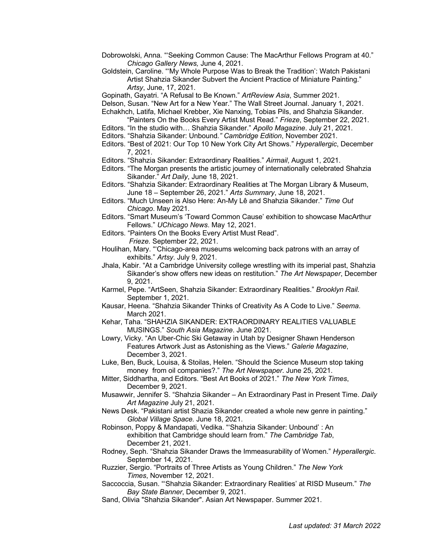- Dobrowolski, Anna*.* "'Seeking Common Cause: The MacArthur Fellows Program at 40." *Chicago Gallery News,* June 4, 2021.
- Goldstein, Caroline. "'My Whole Purpose Was to Break the Tradition': Watch Pakistani Artist Shahzia Sikander Subvert the Ancient Practice of Miniature Painting." *Artsy*, June, 17, 2021.
- Gopinath, Gayatri. "A Refusal to Be Known." *ArtReview Asia*, Summer 2021.
- Delson, Susan. "New Art for a New Year." The Wall Street Journal. January 1, 2021.
- Echakhch, Latifa, Michael Krebber, Xie Nanxing, Tobias Pils, and Shahzia Sikander.
- "Painters On the Books Every Artist Must Read." *Frieze*, September 22, 2021.
- Editors. "In the studio with… Shahzia Sikander." *Apollo Magazine*. July 21, 2021.
- Editors. "Shahzia Sikander: Unbound*." Cambridge Edition*, November 2021.
- Editors. "Best of 2021: Our Top 10 New York City Art Shows." *Hyperallergic*, December 7, 2021.
- Editors. "Shahzia Sikander: Extraordinary Realities." *Airmail*, August 1, 2021.
- Editors. "The Morgan presents the artistic journey of internationally celebrated Shahzia Sikander." *Art Daily*, June 18, 2021.
- Editors. "Shahzia Sikander: Extraordinary Realities at The Morgan Library & Museum, June 18 – September 26, 2021." *Arts Summary*, June 18, 2021.
- Editors. "Much Unseen is Also Here: An-My Lê and Shahzia Sikander." *Time Out Chicago*. May 2021.
- Editors. "Smart Museum's 'Toward Common Cause' exhibition to showcase MacArthur Fellows." *UChicago News*. May 12, 2021.
- Editors. "Painters On the Books Every Artist Must Read". *Frieze.* September 22, 2021.
- Houlihan, Mary. "'Chicago-area museums welcoming back patrons with an array of exhibits." *Artsy*. July 9, 2021.
- Jhala, Kabir. "At a Cambridge University college wrestling with its imperial past, Shahzia Sikander's show offers new ideas on restitution." *The Art Newspaper*, December 9, 2021.
- Karmel, Pepe. "ArtSeen, Shahzia Sikander: Extraordinary Realities." *Brooklyn Rail.*  September 1, 2021.
- Kausar, Heena. "Shahzia Sikander Thinks of Creativity As A Code to Live." *Seema*. March 2021.
- Kehar, Taha. "SHAHZIA SIKANDER: EXTRAORDINARY REALITIES VALUABLE MUSINGS." *South Asia Magazine*. June 2021.
- Lowry, Vicky. "An Uber-Chic Ski Getaway in Utah by Designer Shawn Henderson Features Artwork Just as Astonishing as the Views." *Galerie Magazine*, December 3, 2021.
- Luke, Ben, Buck, Louisa, & Stoilas, Helen. "Should the Science Museum stop taking money from oil companies?." *The Art Newspaper*. June 25, 2021.
- Mitter, Siddhartha, and Editors. "Best Art Books of 2021." *The New York Times*, December 9, 2021.
- Musawwir, Jennifer S. "Shahzia Sikander An Extraordinary Past in Present Time. *Daily Art Magazine* July 21, 2021.
- News Desk. "Pakistani artist Shazia Sikander created a whole new genre in painting." *Global Village Space.* June 18, 2021.

Robinson, Poppy & Mandapati, Vedika. "'Shahzia Sikander: Unbound' : An exhibition that Cambridge should learn from." *The Cambridge Tab*, December 21, 2021.

- Rodney, Seph. "Shahzia Sikander Draws the Immeasurability of Women." *Hyperallergic*. September 14, 2021.
- Ruzzier, Sergio. "Portraits of Three Artists as Young Children." *The New York Times*, November 12, 2021.
- Saccoccia, Susan. "'Shahzia Sikander: Extraordinary Realities' at RISD Museum." *The Bay State Banner*, December 9, 2021.
- Sand, Olivia "Shahzia Sikander". Asian Art Newspaper. Summer 2021.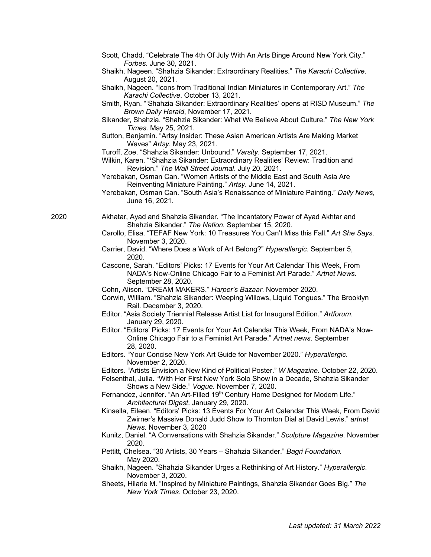- Scott, Chadd. "Celebrate The 4th Of July With An Arts Binge Around New York City." *Forbes*. June 30, 2021.
- Shaikh, Nageen. "Shahzia Sikander: Extraordinary Realities." *The Karachi Collective*. August 20, 2021.
- Shaikh, Nageen. "Icons from Traditional Indian Miniatures in Contemporary Art." *The Karachi Collective*. October 13, 2021.
- Smith, Ryan. "'Shahzia Sikander: Extraordinary Realities' opens at RISD Museum." *The Brown Daily Herald*, November 17, 2021.
- Sikander, Shahzia. "Shahzia Sikander: What We Believe About Culture." *The New York Times*. May 25, 2021.
- Sutton, Benjamin. "Artsy Insider: These Asian American Artists Are Making Market Waves" *Artsy.* May 23, 2021.
- Turoff, Zoe. "Shahzia Sikander: Unbound." *Varsity*. September 17, 2021.
- Wilkin, Karen. "**'**Shahzia Sikander: Extraordinary Realities' Review: Tradition and Revision." *The Wall Street Journal*. July 20, 2021.
- Yerebakan, Osman Can. "Women Artists of the Middle East and South Asia Are Reinventing Miniature Painting." *Artsy*. June 14, 2021.
- Yerebakan, Osman Can. "South Asia's Renaissance of Miniature Painting." *Daily News*, June 16, 2021.
- 2020 Akhatar, Ayad and Shahzia Sikander. "The Incantatory Power of Ayad Akhtar and Shahzia Sikander." *The Nation.* September 15, 2020.
	- Carollo, Elisa. "TEFAF New York: 10 Treasures You Can't Miss this Fall." *Art She Says*. November 3, 2020.
	- Carrier, David. "Where Does a Work of Art Belong?" *Hyperallergic.* September 5, 2020.
	- Cascone, Sarah. "Editors' Picks: 17 Events for Your Art Calendar This Week, From NADA's Now-Online Chicago Fair to a Feminist Art Parade." *Artnet News*. September 28, 2020.
	- Cohn, Alison. "DREAM MAKERS." *Harper's Bazaar*. November 2020.
	- Corwin, William. "Shahzia Sikander: Weeping Willows, Liquid Tongues." The Brooklyn Rail. December 3, 2020.
	- Editor. "Asia Society Triennial Release Artist List for Inaugural Edition." *Artforum*. January 29, 2020.
	- Editor. "Editors' Picks: 17 Events for Your Art Calendar This Week, From NADA's Now-Online Chicago Fair to a Feminist Art Parade." *Artnet news*. September 28, 2020.
	- Editors. "Your Concise New York Art Guide for November 2020." *Hyperallergic*. November 2, 2020.
	- Editors. "Artists Envision a New Kind of Political Poster." *W Magazine*. October 22, 2020.

Felsenthal, Julia. "With Her First New York Solo Show in a Decade, Shahzia Sikander Shows a New Side." *Vogue*. November 7, 2020.

- Fernandez, Jennifer. "An Art-Filled 19<sup>th</sup> Century Home Designed for Modern Life." *Architectural Digest*. January 29, 2020.
- Kinsella, Eileen. "Editors' Picks: 13 Events For Your Art Calendar This Week, From David Zwirner's Massive Donald Judd Show to Thornton Dial at David Lewis." *artnet News*. November 3, 2020
- Kunitz, Daniel. "A Conversations with Shahzia Sikander." *Sculpture Magazine*. November 2020.
- Pettitt, Chelsea. "30 Artists, 30 Years Shahzia Sikander." *Bagri Foundation.*  May 2020.
- Shaikh, Nageen. "Shahzia Sikander Urges a Rethinking of Art History." *Hyperallergic*. November 3, 2020.
- Sheets, Hilarie M. "Inspired by Miniature Paintings, Shahzia Sikander Goes Big." *The New York Times*. October 23, 2020.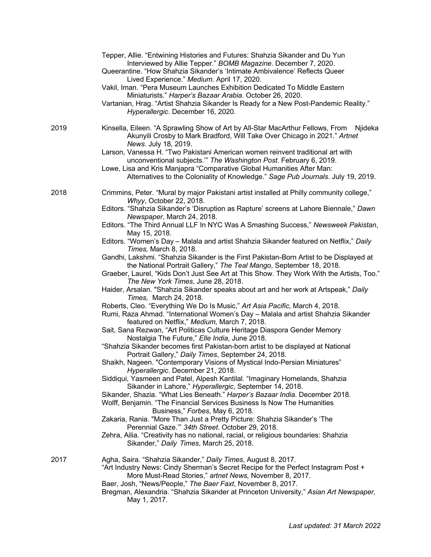|      | Tepper, Allie. "Entwining Histories and Futures: Shahzia Sikander and Du Yun<br>Interviewed by Allie Tepper." BOMB Magazine. December 7, 2020.<br>Queerantine. "How Shahzia Sikander's 'Intimate Ambivalence' Reflects Queer<br>Lived Experience." Medium. April 17, 2020.<br>Vakil, Iman. "Pera Museum Launches Exhibition Dedicated To Middle Eastern<br>Miniaturists." Harper's Bazaar Arabia. October 26, 2020.<br>Vartanian, Hrag. "Artist Shahzia Sikander Is Ready for a New Post-Pandemic Reality."<br>Hyperallergic. December 16, 2020. |
|------|--------------------------------------------------------------------------------------------------------------------------------------------------------------------------------------------------------------------------------------------------------------------------------------------------------------------------------------------------------------------------------------------------------------------------------------------------------------------------------------------------------------------------------------------------|
| 2019 | Kinsella, Eileen. "A Sprawling Show of Art by All-Star MacArthur Fellows, From<br>Njideka<br>Akunyili Crosby to Mark Bradford, Will Take Over Chicago in 2021." Artnet<br>News. July 18, 2019.                                                                                                                                                                                                                                                                                                                                                   |
|      | Larson, Vanessa H. "Two Pakistani American women reinvent traditional art with<br>unconventional subjects." The Washington Post. February 6, 2019.<br>Lowe, Lisa and Kris Manjapra "Comparative Global Humanities After Man:<br>Alternatives to the Coloniality of Knowledge." Sage Pub Journals. July 19, 2019.                                                                                                                                                                                                                                 |
| 2018 | Crimmins, Peter. "Mural by major Pakistani artist installed at Philly community college,"                                                                                                                                                                                                                                                                                                                                                                                                                                                        |
|      | Whyy, October 22, 2018.<br>Editors. "Shahzia Sikander's 'Disruption as Rapture' screens at Lahore Biennale," Dawn                                                                                                                                                                                                                                                                                                                                                                                                                                |
|      | Newspaper, March 24, 2018.<br>Editors. "The Third Annual LLF In NYC Was A Smashing Success," Newsweek Pakistan,<br>May 15, 2018.                                                                                                                                                                                                                                                                                                                                                                                                                 |
|      | Editors. "Women's Day - Malala and artist Shahzia Sikander featured on Netflix," Daily<br>Times, March 8, 2018.                                                                                                                                                                                                                                                                                                                                                                                                                                  |
|      | Gandhi, Lakshmi. "Shahzia Sikander is the First Pakistan-Born Artist to be Displayed at<br>the National Portrait Gallery," The Teal Mango, September 18, 2018.                                                                                                                                                                                                                                                                                                                                                                                   |
|      | Graeber, Laurel, "Kids Don't Just See Art at This Show. They Work With the Artists, Too."<br>The New York Times, June 28, 2018.                                                                                                                                                                                                                                                                                                                                                                                                                  |
|      | Haider, Arsalan. "Shahzia Sikander speaks about art and her work at Artspeak," Daily<br>Times, March 24, 2018.                                                                                                                                                                                                                                                                                                                                                                                                                                   |
|      | Roberts, Cleo. "Everything We Do Is Music," Art Asia Pacific, March 4, 2018.<br>Rumi, Raza Ahmad. "International Women's Day - Malala and artist Shahzia Sikander<br>featured on Netflix," Medium, March 7, 2018.                                                                                                                                                                                                                                                                                                                                |
|      | Sait, Sana Rezwan, "Art Politicas Culture Heritage Diaspora Gender Memory<br>Nostalgia The Future," Elle India, June 2018.                                                                                                                                                                                                                                                                                                                                                                                                                       |
|      | "Shahzia Sikander becomes first Pakistan-born artist to be displayed at National<br>Portrait Gallery," Daily Times, September 24, 2018.                                                                                                                                                                                                                                                                                                                                                                                                          |
|      | Shaikh, Nageen. "Contemporary Visions of Mystical Indo-Persian Miniatures"<br>Hyperallergic. December 21, 2018.                                                                                                                                                                                                                                                                                                                                                                                                                                  |
|      | Siddiqui, Yasmeen and Patel, Alpesh Kantilal. "Imaginary Homelands, Shahzia<br>Sikander in Lahore," Hyperallergic, September 14, 2018.<br>Sikander, Shazia. "What Lies Beneath." Harper's Bazaar India. December 2018.                                                                                                                                                                                                                                                                                                                           |
|      | Wolff, Benjamin. "The Financial Services Business Is Now The Humanities<br>Business," Forbes, May 6, 2018.                                                                                                                                                                                                                                                                                                                                                                                                                                       |
|      | Zakaria, Rania. "More Than Just a Pretty Picture: Shahzia Sikander's 'The<br>Perennial Gaze." 34th Street. October 29, 2018.                                                                                                                                                                                                                                                                                                                                                                                                                     |
|      | Zehra, Ailia. "Creativity has no national, racial, or religious boundaries: Shahzia<br>Sikander," Daily Times, March 25, 2018.                                                                                                                                                                                                                                                                                                                                                                                                                   |
| 2017 | Agha, Saira. "Shahzia Sikander," Daily Times, August 8, 2017.<br>"Art Industry News: Cindy Sherman's Secret Recipe for the Perfect Instagram Post +<br>More Must-Read Stories," artnet News, November 8, 2017.<br>Baer, Josh, "News/People," The Baer Faxt, November 8, 2017.                                                                                                                                                                                                                                                                    |
|      | Bregman, Alexandria. "Shahzia Sikander at Princeton University," Asian Art Newspaper,<br>May 1, 2017.                                                                                                                                                                                                                                                                                                                                                                                                                                            |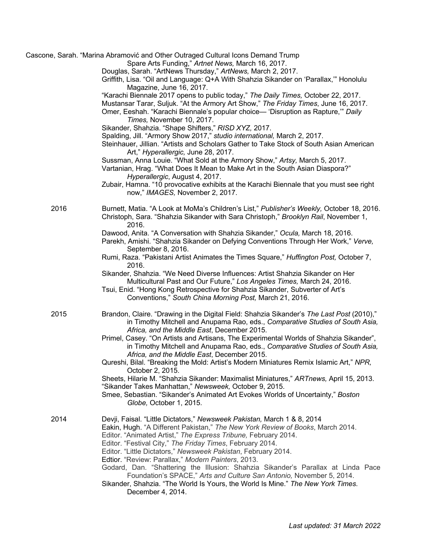|      | Cascone, Sarah. "Marina Abramović and Other Outraged Cultural Icons Demand Trump<br>Spare Arts Funding," Artnet News, March 16, 2017.<br>Douglas, Sarah. "ArtNews Thursday," ArtNews, March 2, 2017.                                                                                     |
|------|------------------------------------------------------------------------------------------------------------------------------------------------------------------------------------------------------------------------------------------------------------------------------------------|
|      | Griffith, Lisa. "Oil and Language: Q+A With Shahzia Sikander on 'Parallax," Honolulu<br>Magazine, June 16, 2017.                                                                                                                                                                         |
|      | "Karachi Biennale 2017 opens to public today," The Daily Times, October 22, 2017.                                                                                                                                                                                                        |
|      | Mustansar Tarar, Suljuk. "At the Armory Art Show," The Friday Times, June 16, 2017.                                                                                                                                                                                                      |
|      | Omer, Eeshah. "Karachi Biennale's popular choice- 'Disruption as Rapture," Daily<br>Times, November 10, 2017.                                                                                                                                                                            |
|      | Sikander, Shahzia. "Shape Shifters," RISD XYZ, 2017.                                                                                                                                                                                                                                     |
|      | Spalding, Jill. "Armory Show 2017," studio international, March 2, 2017.<br>Steinhauer, Jillian. "Artists and Scholars Gather to Take Stock of South Asian American<br>Art," Hyperallergic, June 28, 2017.                                                                               |
|      | Sussman, Anna Louie. "What Sold at the Armory Show," Artsy, March 5, 2017.                                                                                                                                                                                                               |
|      | Vartanian, Hrag. "What Does It Mean to Make Art in the South Asian Diaspora?"<br>Hyperallergic, August 4, 2017.                                                                                                                                                                          |
|      | Zubair, Hamna. "10 provocative exhibits at the Karachi Biennale that you must see right<br>now," IMAGES, November 2, 2017.                                                                                                                                                               |
| 2016 | Burnett, Matia. "A Look at MoMa's Children's List," Publisher's Weekly, October 18, 2016.<br>Christoph, Sara. "Shahzia Sikander with Sara Christoph," Brooklyn Rail, November 1,<br>2016.                                                                                                |
|      | Dawood, Anita. "A Conversation with Shahzia Sikander," Ocula, March 18, 2016.<br>Parekh, Amishi. "Shahzia Sikander on Defying Conventions Through Her Work," Verve,<br>September 8, 2016.                                                                                                |
|      | Rumi, Raza. "Pakistani Artist Animates the Times Square," Huffington Post, October 7,<br>2016.                                                                                                                                                                                           |
|      | Sikander, Shahzia. "We Need Diverse Influences: Artist Shahzia Sikander on Her<br>Multicultural Past and Our Future," Los Angeles Times, March 24, 2016.                                                                                                                                 |
|      | Tsui, Enid. "Hong Kong Retrospective for Shahzia Sikander, Subverter of Art's<br>Conventions," South China Morning Post, March 21, 2016.                                                                                                                                                 |
| 2015 | Brandon, Claire. "Drawing in the Digital Field: Shahzia Sikander's The Last Post (2010),"<br>in Timothy Mitchell and Anupama Rao, eds., Comparative Studies of South Asia,<br>Africa, and the Middle East, December 2015.                                                                |
|      | Primel, Casey. "On Artists and Artisans, The Experimental Worlds of Shahzia Sikander",                                                                                                                                                                                                   |
|      | in Timothy Mitchell and Anupama Rao, eds., Comparative Studies of South Asia,<br>Africa, and the Middle East, December 2015.                                                                                                                                                             |
|      | Qureshi, Bilal. "Breaking the Mold: Artist's Modern Miniatures Remix Islamic Art," NPR,<br>October 2, 2015.                                                                                                                                                                              |
|      | Sheets, Hilarie M. "Shahzia Sikander: Maximalist Miniatures," ARTnews, April 15, 2013.<br>"Sikander Takes Manhattan," Newsweek, October 9, 2015.                                                                                                                                         |
|      | Smee, Sebastian. "Sikander's Animated Art Evokes Worlds of Uncertainty," Boston<br>Globe, October 1, 2015.                                                                                                                                                                               |
| 2014 | Devji, Faisal. "Little Dictators," Newsweek Pakistan, March 1 & 8, 2014<br>Eakin, Hugh. "A Different Pakistan," The New York Review of Books, March 2014.<br>Editor. "Animated Artist," The Express Tribune, February 2014.<br>Editor. "Festival City," The Friday Times, February 2014. |
|      | Editor. "Little Dictators," Newsweek Pakistan, February 2014.<br>Edtior. "Review: Parallax," Modern Painters, 2013.                                                                                                                                                                      |
|      | Godard, Dan. "Shattering the Illusion: Shahzia Sikander's Parallax at Linda Pace<br>Foundation's SPACE," Arts and Culture San Antonio, November 5, 2014.                                                                                                                                 |
|      | Sikander, Shahzia. "The World Is Yours, the World Is Mine." The New York Times.<br>December 4, 2014.                                                                                                                                                                                     |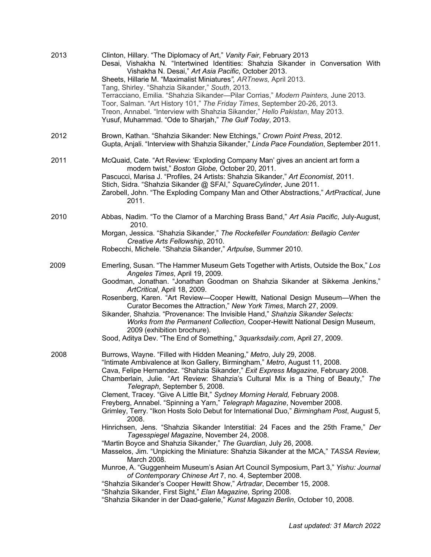| 2013 | Clinton, Hillary. "The Diplomacy of Art," Vanity Fair, February 2013<br>Desai, Vishakha N. "Intertwined Identities: Shahzia Sikander in Conversation With<br>Vishakha N. Desai," Art Asia Pacific, October 2013.<br>Sheets, Hillarie M. "Maximalist Miniatures", ARTnews, April 2013.<br>Tang, Shirley. "Shahzia Sikander," South, 2013.<br>Terracciano, Emilia. "Shahzia Sikander-Pilar Corrias," Modern Painters, June 2013.<br>Toor, Salman. "Art History 101," The Friday Times, September 20-26, 2013.<br>Treon, Annabel. "Interview with Shahzia Sikander," Hello Pakistan, May 2013.<br>Yusuf, Muhammad. "Ode to Sharjah," The Gulf Today, 2013.                                                                                                                                                                                                                                                                                                                                                                                                                                                                                                                                                                                                                                                                      |
|------|------------------------------------------------------------------------------------------------------------------------------------------------------------------------------------------------------------------------------------------------------------------------------------------------------------------------------------------------------------------------------------------------------------------------------------------------------------------------------------------------------------------------------------------------------------------------------------------------------------------------------------------------------------------------------------------------------------------------------------------------------------------------------------------------------------------------------------------------------------------------------------------------------------------------------------------------------------------------------------------------------------------------------------------------------------------------------------------------------------------------------------------------------------------------------------------------------------------------------------------------------------------------------------------------------------------------------|
| 2012 | Brown, Kathan. "Shahzia Sikander: New Etchings," Crown Point Press, 2012.<br>Gupta, Anjali. "Interview with Shahzia Sikander," Linda Pace Foundation, September 2011.                                                                                                                                                                                                                                                                                                                                                                                                                                                                                                                                                                                                                                                                                                                                                                                                                                                                                                                                                                                                                                                                                                                                                        |
| 2011 | McQuaid, Cate. "Art Review: 'Exploding Company Man' gives an ancient art form a<br>modern twist," Boston Globe, October 20, 2011.<br>Pascucci, Marisa J. "Profiles, 24 Artists: Shahzia Sikander," Art Economist, 2011.<br>Stich, Sidra. "Shahzia Sikander @ SFAI," SquareCylinder, June 2011.<br>Zarobell, John. "The Exploding Company Man and Other Abstractions," ArtPractical, June<br>2011.                                                                                                                                                                                                                                                                                                                                                                                                                                                                                                                                                                                                                                                                                                                                                                                                                                                                                                                            |
| 2010 | Abbas, Nadim. "To the Clamor of a Marching Brass Band," Art Asia Pacific, July-August,<br>2010.<br>Morgan, Jessica. "Shahzia Sikander," The Rockefeller Foundation: Bellagio Center<br>Creative Arts Fellowship, 2010.<br>Robecchi, Michele. "Shahzia Sikander," Artpulse, Summer 2010.                                                                                                                                                                                                                                                                                                                                                                                                                                                                                                                                                                                                                                                                                                                                                                                                                                                                                                                                                                                                                                      |
| 2009 | Emerling, Susan. "The Hammer Museum Gets Together with Artists, Outside the Box," Los<br>Angeles Times, April 19, 2009.<br>Goodman, Jonathan. "Jonathan Goodman on Shahzia Sikander at Sikkema Jenkins,"<br>ArtCritical, April 18, 2009.<br>Rosenberg, Karen. "Art Review-Cooper Hewitt, National Design Museum-When the<br>Curator Becomes the Attraction," New York Times, March 27, 2009.<br>Sikander, Shahzia. "Provenance: The Invisible Hand," Shahzia Sikander Selects:<br>Works from the Permanent Collection, Cooper-Hewitt National Design Museum,<br>2009 (exhibition brochure).<br>Sood, Aditya Dev. "The End of Something," 3quarksdaily.com, April 27, 2009.                                                                                                                                                                                                                                                                                                                                                                                                                                                                                                                                                                                                                                                   |
| 2008 | Burrows, Wayne. "Filled with Hidden Meaning," Metro, July 29, 2008.<br>"Intimate Ambivalence at Ikon Gallery, Birmingham," Metro, August 11, 2008.<br>Cava, Felipe Hernandez. "Shahzia Sikander," Exit Express Magazine, February 2008.<br>Chamberlain, Julie. "Art Review: Shahzia's Cultural Mix is a Thing of Beauty," The<br>Telegraph, September 5, 2008.<br>Clement, Tracey. "Give A Little Bit," Sydney Morning Herald, February 2008.<br>Freyberg, Annabel. "Spinning a Yarn," Telegraph Magazine, November 2008.<br>Grimley, Terry. "Ikon Hosts Solo Debut for International Duo," Birmingham Post, August 5,<br>2008.<br>Hinrichsen, Jens. "Shahzia Sikander Interstitial: 24 Faces and the 25th Frame," Der<br>Tagesspiegel Magazine, November 24, 2008.<br>"Martin Boyce and Shahzia Sikander," The Guardian, July 26, 2008.<br>Masselos, Jim. "Unpicking the Miniature: Shahzia Sikander at the MCA," TASSA Review,<br>March 2008.<br>Munroe, A. "Guggenheim Museum's Asian Art Council Symposium, Part 3," Yishu: Journal<br>of Contemporary Chinese Art 7, no. 4, September 2008.<br>"Shahzia Sikander's Cooper Hewitt Show," Artradar, December 15, 2008.<br>"Shahzia Sikander, First Sight," Elan Magazine, Spring 2008.<br>"Shahzia Sikander in der Daad-galerie," Kunst Magazin Berlin, October 10, 2008. |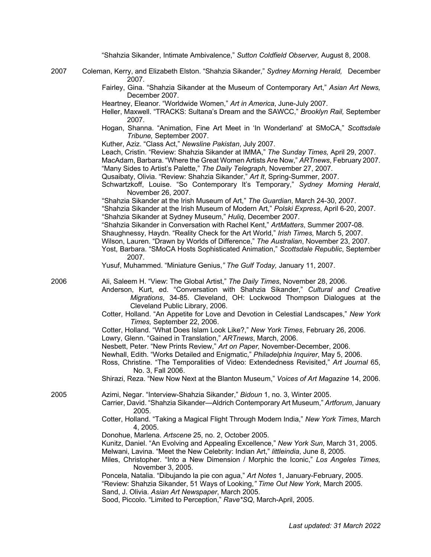"Shahzia Sikander, Intimate Ambivalence," *Sutton Coldfield Observer,* August 8, 2008.

- 2007 Coleman, Kerry, and Elizabeth Elston. "Shahzia Sikander," *Sydney Morning Herald,* December 2007.
	- Fairley, Gina. "Shahzia Sikander at the Museum of Contemporary Art," *Asian Art News,*  December 2007.
	- Heartney, Eleanor. "Worldwide Women," *Art in America*, June-July 2007.
	- Heller, Maxwell. "TRACKS: Sultana's Dream and the SAWCC," *Brooklyn Rail,* September 2007.
	- Hogan, Shanna. "Animation, Fine Art Meet in 'In Wonderland' at SMoCA," *Scottsdale Tribune,* September 2007.
	- Kuther, Aziz. "Class Act," *Newsline Pakistan*, July 2007.

Leach, Cristin. "Review: Shahzia Sikander at IMMA," *The Sunday Times,* April 29, 2007.

MacAdam, Barbara. "Where the Great Women Artists Are Now," *ARTnews*, February 2007. "Many Sides to Artist's Palette," *The Daily Telegraph,* November 27, 2007.

Qusaibaty, Olivia. "Review: Shahzia Sikander," *Art It*, Spring-Summer, 2007.

- Schwartzkoff, Louise. "So Contemporary It's Temporary," *Sydney Morning Herald*, November 26, 2007.
- "Shahzia Sikander at the Irish Museum of Art," *The Guardian*, March 24-30, 2007.

 "Shahzia Sikander at the Irish Museum of Modern Art," *Polski Express*, April 6-20, 2007. "Shahzia Sikander at Sydney Museum," *Huliq*, December 2007.

- "Shahzia Sikander in Conversation with Rachel Kent," *ArtMatters*, Summer 2007-08.
- Shaughnessy, Haydn. "Reality Check for the Art World," *Irish Times,* March 5, 2007.
- Wilson, Lauren. "Drawn by Worlds of Difference," *The Australian*, November 23, 2007.
- Yost, Barbara. "SMoCA Hosts Sophisticated Animation," *Scottsdale Republic*, September 2007.
- Yusuf, Muhammed. "Miniature Genius,*" The Gulf Today,* January 11, 2007.

- 2006 Ali, Saleem H. "View: The Global Artist," *The Daily Times*, November 28, 2006.
	- Anderson, Kurt, ed. "Conversation with Shahzia Sikander," *Cultural and Creative Migrations*, 34-85. Cleveland, OH: Lockwood Thompson Dialogues at the Cleveland Public Library, 2006.
	- Cotter, Holland. "An Appetite for Love and Devotion in Celestial Landscapes," *New York Times,* September 22, 2006.
	- Cotter, Holland. "What Does Islam Look Like?," *New York Times*, February 26, 2006.
	- Lowry, Glenn. "Gained in Translation," *ARTnews*, March, 2006.
	- Nesbett, Peter. "New Prints Review," *Art on Paper,* November-December, 2006.
	- Newhall, Edith. "Works Detailed and Enigmatic," *Philadelphia Inquirer*, May 5, 2006.
	- Ross, Christine. "The Temporalities of Video: Extendedness Revisited," *Art Journal* 65, No. 3, Fall 2006.
	- Shirazi, Reza. "New Now Next at the Blanton Museum," *Voices of Art Magazine* 14, 2006.

2005 Azimi, Negar. "Interview-Shahzia Sikander," *Bidoun* 1, no. 3, Winter 2005.

- Carrier, David. "Shahzia Sikander—Aldrich Contemporary Art Museum," *Artforum*, January 2005.
- Cotter, Holland. "Taking a Magical Flight Through Modern India," *New York Times*, March 4, 2005.
- Donohue, Marlena. *Artscene* 25, no. 2, October 2005.

Kunitz, Daniel. "An Evolving and Appealing Excellence," *New York Sun*, March 31, 2005. Melwani, Lavina. "Meet the New Celebrity: Indian Art," *littleindia*, June 8, 2005.

- Miles, Christopher. "Into a New Dimension / Morphic the Iconic," *Los Angeles Times,* November 3, 2005.
- Poncela, Natalia. "Dibujando la pie con agua," *Art Notes* 1, January-February, 2005.

"Review: Shahzia Sikander, 51 Ways of Looking,*" Time Out New York*, March 2005.

Sand, J. Olivia. *Asian Art Newspaper*, March 2005.

Sood, Piccolo. "Limited to Perception," *Rave\*SQ*, March-April, 2005.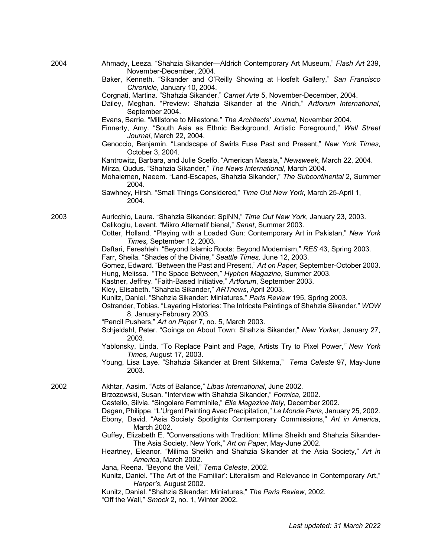| 2004 | Ahmady, Leeza. "Shahzia Sikander-Aldrich Contemporary Art Museum," Flash Art 239, |
|------|-----------------------------------------------------------------------------------|
|      | November-December, 2004.                                                          |

- Baker, Kenneth. "Sikander and O'Reilly Showing at Hosfelt Gallery," *San Francisco Chronicle*, January 10, 2004.
- Corgnati, Martina. "Shahzia Sikander," *Carnet Arte* 5, November-December, 2004.
- Dailey, Meghan. "Preview: Shahzia Sikander at the Alrich," *Artforum International*, September 2004.
- Evans, Barrie. "Millstone to Milestone." *The Architects' Journal*, November 2004.
- Finnerty, Amy. "South Asia as Ethnic Background, Artistic Foreground," *Wall Street Journal*, March 22, 2004.
- Genoccio, Benjamin. "Landscape of Swirls Fuse Past and Present," *New York Times*, October 3, 2004.
- Kantrowitz, Barbara, and Julie Scelfo. "American Masala," *Newsweek*, March 22, 2004. Mirza, Qudus. "Shahzia Sikander," *The News International,* March 2004.
- Mohaiemen, Naeem. "Land-Escapes, Shahzia Sikander," *The Subcontinental* 2, Summer 2004.
- Sawhney, Hirsh. "Small Things Considered," *Time Out New York*, March 25-April 1, 2004.

2003 Auricchio, Laura. "Shahzia Sikander: SpiNN," *Time Out New York*, January 23, 2003. Calikoglu, Levent. "Mikro Alternatif bienal," *Sanat*, Summer 2003.

- Cotter, Holland. "Playing with a Loaded Gun: Contemporary Art in Pakistan," *New York Times,* September 12, 2003.
- Daftari, Fereshteh. "Beyond Islamic Roots: Beyond Modernism," *RES* 43, Spring 2003. Farr, Sheila. "Shades of the Divine*," Seattle Times,* June 12, 2003.
- Gomez, Edward. "Between the Past and Present," *Art on Paper*, September-October 2003.

Hung, Melissa. "The Space Between," *Hyphen Magazine*, Summer 2003.

- Kastner, Jeffrey. "Faith-Based Initiative," *Artforum*, September 2003.
- Kley, Elisabeth. "Shahzia Sikander," *ARTnews*, April 2003.
- Kunitz, Daniel. "Shahzia Sikander: Miniatures," *Paris Review* 195, Spring 2003.
- Ostrander, Tobias. "Layering Histories: The Intricate Paintings of Shahzia Sikander," *WOW*  8, January-February 2003.
- "Pencil Pushers," *Art on Paper* 7, no. 5, March 2003.
- Schjeldahl, Peter. "Goings on About Town: Shahzia Sikander," *New Yorker*, January 27, 2003.
- Yablonsky, Linda. "To Replace Paint and Page, Artists Try to Pixel Power,*" New York Times,* August 17, 2003.
- Young, Lisa Laye. "Shahzia Sikander at Brent Sikkema," *Tema Celeste* 97, May-June 2003.

2002 Akhtar, Aasim. "Acts of Balance," *Libas International*, June 2002.

Brzozowski, Susan. "Interview with Shahzia Sikander," *Formica*, 2002.

Castello, Silvia. "Singolare Femminile," *Elle Magazine Italy*, December 2002.

- Dagan, Philippe. "L'Urgent Painting Avec Precipitation," *Le Monde Paris*, January 25, 2002.
- Ebony, David. "Asia Society Spotlights Contemporary Commissions," *Art in America*, March 2002.
- Guffey, Elizabeth E. "Conversations with Tradition: Milima Sheikh and Shahzia Sikander-The Asia Society, New York," *Art on Paper*, May-June 2002.
- Heartney, Eleanor. "Milima Sheikh and Shahzia Sikander at the Asia Society," *Art in America*, March 2002.
- Jana, Reena. "Beyond the Veil," *Tema Celeste*, 2002.
- Kunitz, Daniel. "The Art of the Familiar': Literalism and Relevance in Contemporary Art," *Harper's*, August 2002.
- Kunitz, Daniel. "Shahzia Sikander: Miniatures," *The Paris Review*, 2002.

"Off the Wall," *Smock* 2, no. 1, Winter 2002.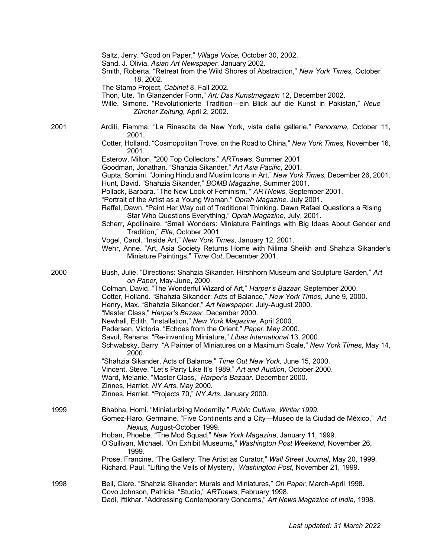|      | Saltz, Jerry. "Good on Paper," Village Voice, October 30, 2002.<br>Sand, J. Olivia. Asian Art Newspaper, January 2002.<br>Smith, Roberta. "Retreat from the Wild Shores of Abstraction," New York Times, October<br>18, 2002.<br>The Stamp Project, Cabinet 8, Fall 2002.<br>Thon, Ute. "In Glanzender Form," Art: Das Kunstmagazin 12, December 2002.<br>Wille, Simone. "Revolutionierte Tradition-ein Blick auf die Kunst in Pakistan," Neue<br>Zürcher Zeitung, April 2, 2002.                                                                                                                                                                                                                                                                                                                                                                                                                                                                                                                                                                                   |
|------|---------------------------------------------------------------------------------------------------------------------------------------------------------------------------------------------------------------------------------------------------------------------------------------------------------------------------------------------------------------------------------------------------------------------------------------------------------------------------------------------------------------------------------------------------------------------------------------------------------------------------------------------------------------------------------------------------------------------------------------------------------------------------------------------------------------------------------------------------------------------------------------------------------------------------------------------------------------------------------------------------------------------------------------------------------------------|
| 2001 | Arditi, Fiamma. "La Rinascita de New York, vista dalle gallerie," Panorama, October 11,<br>2001.<br>Cotter, Holland. "Cosmopolitan Trove, on the Road to China," New York Times, November 16,                                                                                                                                                                                                                                                                                                                                                                                                                                                                                                                                                                                                                                                                                                                                                                                                                                                                       |
|      | 2001.<br>Esterow, Milton. "200 Top Collectors," ARTnews, Summer 2001.<br>Goodman, Jonathan. "Shahzia Sikander," Art Asia Pacific, 2001.<br>Gupta, Somini. "Joining Hindu and Muslim Icons in Art," New York Times, December 26, 2001.<br>Hunt, David. "Shahzia Sikander," BOMB Magazine, Summer 2001.<br>Pollack, Barbara. "The New Look of Feminism, " ARTNews, September 2001.<br>"Portrait of the Artist as a Young Woman," Oprah Magazine, July 2001.<br>Raffel, Dawn. "Paint Her Way out of Traditional Thinking. Dawn Rafael Questions a Rising<br>Star Who Questions Everything," Oprah Magazine, July, 2001.<br>Scherr, Apollinaire. "Small Wonders: Miniature Paintings with Big Ideas About Gender and<br>Tradition," Elle, October 2001.<br>Vogel, Carol. "Inside Art," New York Times, January 12, 2001.<br>Wehr, Anne. "Art, Asia Society Returns Home with Nilima Sheikh and Shahzia Sikander's<br>Miniature Paintings," Time Out, December 2001.                                                                                                     |
| 2000 | Bush, Julie. "Directions: Shahzia Sikander. Hirshhorn Museum and Sculpture Garden," Art<br>on Paper, May-June, 2000.<br>Colman, David. "The Wonderful Wizard of Art," Harper's Bazaar, September 2000.<br>Cotter, Holland. "Shahzia Sikander: Acts of Balance," New York Times, June 9, 2000.<br>Henry, Max. "Shahzia Sikander," Art Newspaper, July-August 2000.<br>"Master Class," Harper's Bazaar, December 2000.<br>Newhall, Edith. "Installation," New York Magazine, April 2000.<br>Pedersen, Victoria. "Echoes from the Orient," Paper, May 2000.<br>Savul, Rehana. "Re-inventing Miniature," Libas International 13, 2000.<br>Schwabsky, Barry. "A Painter of Miniatures on a Maximum Scale," New York Times, May 14,<br>2000.<br>"Shahzia Sikander, Acts of Balance," Time Out New York, June 15, 2000.<br>Vincent, Steve. "Let's Party Like It's 1989," Art and Auction, October 2000.<br>Ward, Melanie. "Master Class," Harper's Bazaar, December 2000.<br>Zinnes, Harriet. NY Arts, May 2000.<br>Zinnes, Harriet. "Projects 70," NY Arts, January 2000. |
| 1999 | Bhabha, Homi. "Miniaturizing Modernity," Public Culture, Winter 1999.<br>Gomez-Haro, Germaine. "Five Continents and a City—Museo de la Ciudad de México," Art<br>Nexus, August-October 1999.<br>Hoban, Phoebe. "The Mod Squad," New York Magazine, January 11, 1999.<br>O'Sullivan, Michael. "On Exhibit Museums," Washington Post Weekend, November 26,<br>1999.<br>Prose, Francine. "The Gallery: The Artist as Curator," Wall Street Journal, May 20, 1999.<br>Richard, Paul. "Lifting the Veils of Mystery," Washington Post, November 21, 1999.                                                                                                                                                                                                                                                                                                                                                                                                                                                                                                                |
| 1998 | Bell, Clare. "Shahzia Sikander: Murals and Miniatures," On Paper, March-April 1998.<br>Covo Johnson, Patricia. "Studio," ARTnews, February 1998.<br>Dadi, Iftikhar. "Addressing Contemporary Concerns," Art News Magazine of India, 1998.                                                                                                                                                                                                                                                                                                                                                                                                                                                                                                                                                                                                                                                                                                                                                                                                                           |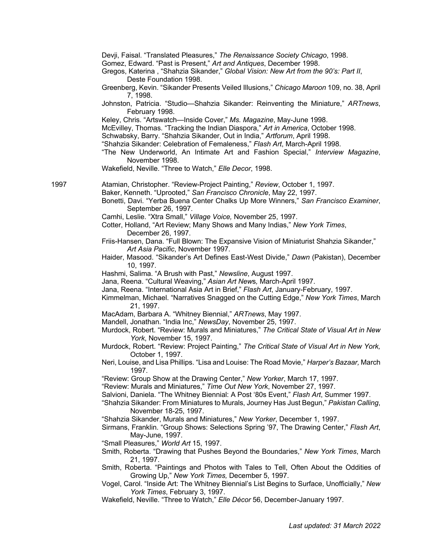Devji, Faisal. "Translated Pleasures," *The Renaissance Society Chicago*, 1998.

- Gomez, Edward. "Past is Present," *Art and Antiques*, December 1998.
- Gregos, Katerina , "Shahzia Sikander," *Global Vision: New Art from the 90's: Part II*, Deste Foundation 1998.
- Greenberg, Kevin. "Sikander Presents Veiled Illusions," *Chicago Maroon* 109, no. 38, April 7, 1998.
- Johnston, Patricia. "Studio—Shahzia Sikander: Reinventing the Miniature," *ARTnews*, February 1998.
- Keley, Chris. "Artswatch—Inside Cover," *Ms. Magazine*, May-June 1998.
- McEvilley, Thomas. "Tracking the Indian Diaspora," *Art in America*, October 1998.
- Schwabsky, Barry. "Shahzia Sikander, Out in India," *Artforum*, April 1998.
- "Shahzia Sikander: Celebration of Femaleness," *Flash Art*, March-April 1998.
- "The New Underworld, An Intimate Art and Fashion Special," *Interview Magazine*, November 1998.
- Wakefield, Neville. "Three to Watch," *Elle Decor*, 1998.

- 1997 Atamian, Christopher. "Review-Project Painting," *Review*, October 1, 1997.
	- Baker, Kenneth. "Uprooted," *San Francisco Chronicle*, May 22, 1997.
		- Bonetti, Davi. "Yerba Buena Center Chalks Up More Winners," *San Francisco Examiner*, September 26, 1997.
		- Camhi, Leslie. "Xtra Small," *Village Voice,* November 25, 1997.
		- Cotter, Holland, "Art Review; Many Shows and Many Indias," *New York Times*, December 26, 1997.
		- Friis-Hansen, Dana. "Full Blown: The Expansive Vision of Miniaturist Shahzia Sikander," *Art Asia Pacific*, November 1997.
		- Haider, Masood. "Sikander's Art Defines East-West Divide," *Dawn* (Pakistan), December 10, 1997.
		- Hashmi, Salima. "A Brush with Past," *Newsline*, August 1997.
		- Jana, Reena. "Cultural Weaving," *Asian Art New*s*,* March-April 1997.
		- Jana, Reena. "International Asia Art in Brief," *Flash Art*, January-February, 1997.
		- Kimmelman, Michael. "Narratives Snagged on the Cutting Edge," *New York Times*, March 21, 1997.
		- MacAdam, Barbara A. "Whitney Biennial," *ARTnews*, May 1997.
		- Mandell, Jonathan. "India Inc," *NewsDay*, November 25, 1997.
		- Murdock, Robert. "Review: Murals and Miniatures," *The Critical State of Visual Art in New York*, November 15, 1997.
		- Murdock, Robert. "Review: Project Painting," *The Critical State of Visual Art in New York,* October 1, 1997.
		- Neri, Louise, and Lisa Phillips. "Lisa and Louise: The Road Movie," *Harper's Bazaar,* March 1997.
		- "Review: Group Show at the Drawing Center," *New Yorker*, March 17, 1997.
		- "Review: Murals and Miniatures," *Time Out New York*, November 27, 1997.
		- Salvioni, Daniela. "The Whitney Biennial: A Post '80s Event," *Flash Art*, Summer 1997.
		- "Shahzia Sikander: From Miniatures to Murals, Journey Has Just Begun," *Pakistan Calling*, November 18-25, 1997.
		- "Shahzia Sikander, Murals and Miniatures," *New Yorker*, December 1, 1997.
		- Sirmans, Franklin. "Group Shows: Selections Spring '97, The Drawing Center," *Flash Art*, May-June, 1997.
		- "Small Pleasures," *World Art* 15, 1997.
		- Smith, Roberta. "Drawing that Pushes Beyond the Boundaries," *New York Times*, March 21, 1997.
		- Smith, Roberta. "Paintings and Photos with Tales to Tell, Often About the Oddities of Growing Up," *New York Times,* December 5, 1997.
		- Vogel, Carol. "Inside Art: The Whitney Biennial's List Begins to Surface, Unofficially," *New York Times*, February 3, 1997.
		- Wakefield, Neville. "Three to Watch," *Elle Décor* 56, December-January 1997.